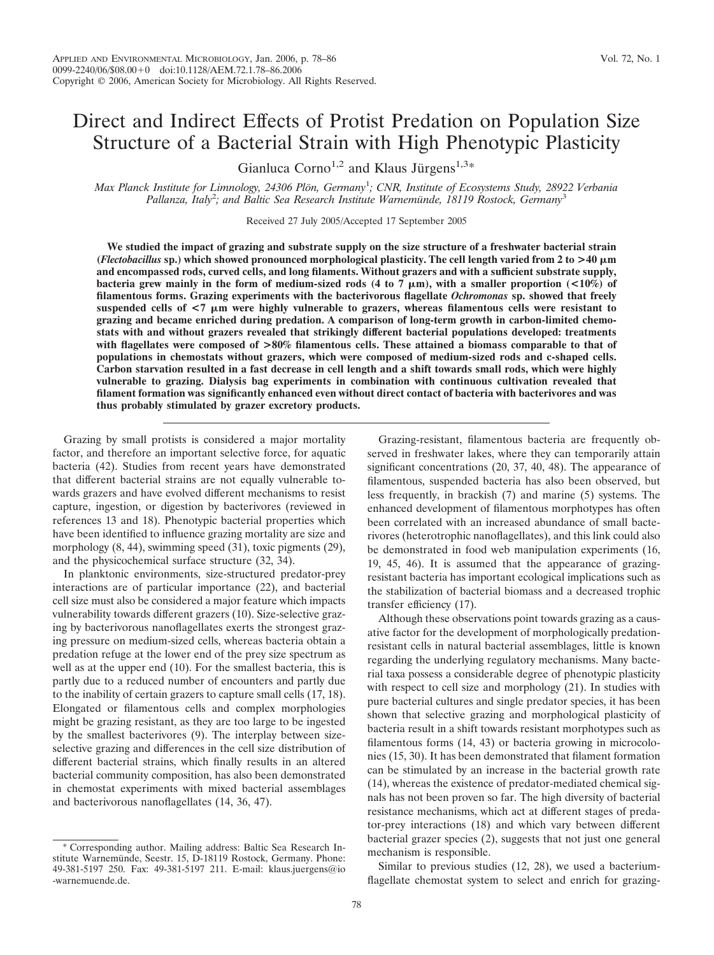# Direct and Indirect Effects of Protist Predation on Population Size Structure of a Bacterial Strain with High Phenotypic Plasticity

Gianluca Corno<sup>1,2</sup> and Klaus Jürgens<sup>1,3\*</sup>

*Max Planck Institute for Limnology, 24306 Plo¨n, Germany*<sup>1</sup> *; CNR, Institute of Ecosystems Study, 28922 Verbania* Pallanza, Italy<sup>2</sup>; and Baltic Sea Research Institute Warnemünde, 18119 Rostock, Germany<sup>3</sup>

Received 27 July 2005/Accepted 17 September 2005

**We studied the impact of grazing and substrate supply on the size structure of a freshwater bacterial strain (***Flectobacillus* **sp.) which showed pronounced morphological plasticity. The cell length varied from 2 to >40 m and encompassed rods, curved cells, and long filaments. Without grazers and with a sufficient substrate supply,** bacteria grew mainly in the form of medium-sized rods  $(4 \text{ to } 7 \mu \text{m})$ , with a smaller proportion  $(<10\%)$  of **filamentous forms. Grazing experiments with the bacterivorous flagellate** *Ochromonas* **sp. showed that freely suspended cells of <7 m were highly vulnerable to grazers, whereas filamentous cells were resistant to grazing and became enriched during predation. A comparison of long-term growth in carbon-limited chemostats with and without grazers revealed that strikingly different bacterial populations developed: treatments with flagellates were composed of >80% filamentous cells. These attained a biomass comparable to that of populations in chemostats without grazers, which were composed of medium-sized rods and c-shaped cells. Carbon starvation resulted in a fast decrease in cell length and a shift towards small rods, which were highly vulnerable to grazing. Dialysis bag experiments in combination with continuous cultivation revealed that filament formation was significantly enhanced even without direct contact of bacteria with bacterivores and was thus probably stimulated by grazer excretory products.**

Grazing by small protists is considered a major mortality factor, and therefore an important selective force, for aquatic bacteria (42). Studies from recent years have demonstrated that different bacterial strains are not equally vulnerable towards grazers and have evolved different mechanisms to resist capture, ingestion, or digestion by bacterivores (reviewed in references 13 and 18). Phenotypic bacterial properties which have been identified to influence grazing mortality are size and morphology  $(8, 44)$ , swimming speed  $(31)$ , toxic pigments  $(29)$ , and the physicochemical surface structure (32, 34).

In planktonic environments, size-structured predator-prey interactions are of particular importance (22), and bacterial cell size must also be considered a major feature which impacts vulnerability towards different grazers (10). Size-selective grazing by bacterivorous nanoflagellates exerts the strongest grazing pressure on medium-sized cells, whereas bacteria obtain a predation refuge at the lower end of the prey size spectrum as well as at the upper end (10). For the smallest bacteria, this is partly due to a reduced number of encounters and partly due to the inability of certain grazers to capture small cells (17, 18). Elongated or filamentous cells and complex morphologies might be grazing resistant, as they are too large to be ingested by the smallest bacterivores (9). The interplay between sizeselective grazing and differences in the cell size distribution of different bacterial strains, which finally results in an altered bacterial community composition, has also been demonstrated in chemostat experiments with mixed bacterial assemblages and bacterivorous nanoflagellates (14, 36, 47).

Grazing-resistant, filamentous bacteria are frequently observed in freshwater lakes, where they can temporarily attain significant concentrations (20, 37, 40, 48). The appearance of filamentous, suspended bacteria has also been observed, but less frequently, in brackish (7) and marine (5) systems. The enhanced development of filamentous morphotypes has often been correlated with an increased abundance of small bacterivores (heterotrophic nanoflagellates), and this link could also be demonstrated in food web manipulation experiments (16, 19, 45, 46). It is assumed that the appearance of grazingresistant bacteria has important ecological implications such as the stabilization of bacterial biomass and a decreased trophic transfer efficiency (17).

Although these observations point towards grazing as a causative factor for the development of morphologically predationresistant cells in natural bacterial assemblages, little is known regarding the underlying regulatory mechanisms. Many bacterial taxa possess a considerable degree of phenotypic plasticity with respect to cell size and morphology  $(21)$ . In studies with pure bacterial cultures and single predator species, it has been shown that selective grazing and morphological plasticity of bacteria result in a shift towards resistant morphotypes such as filamentous forms (14, 43) or bacteria growing in microcolonies (15, 30). It has been demonstrated that filament formation can be stimulated by an increase in the bacterial growth rate (14), whereas the existence of predator-mediated chemical signals has not been proven so far. The high diversity of bacterial resistance mechanisms, which act at different stages of predator-prey interactions (18) and which vary between different bacterial grazer species (2), suggests that not just one general mechanism is responsible.

Similar to previous studies (12, 28), we used a bacteriumflagellate chemostat system to select and enrich for grazing-

<sup>\*</sup> Corresponding author. Mailing address: Baltic Sea Research Institute Warnemünde, Seestr. 15, D-18119 Rostock, Germany. Phone: 49-381-5197 250. Fax: 49-381-5197 211. E-mail: klaus.juergens@io -warnemuende.de.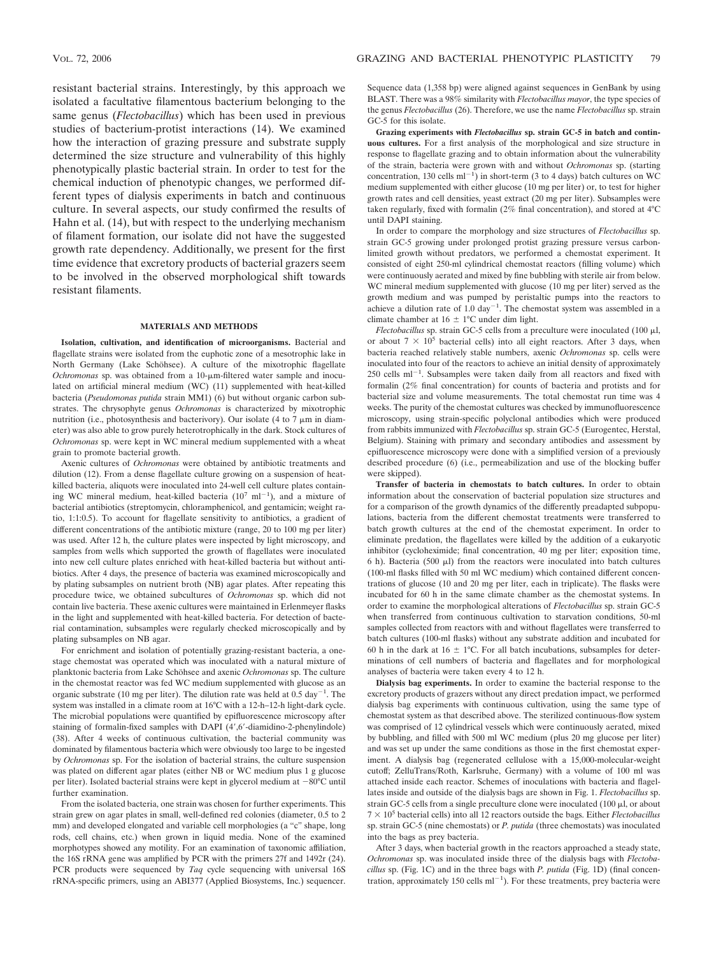resistant bacterial strains. Interestingly, by this approach we isolated a facultative filamentous bacterium belonging to the same genus (*Flectobacillus*) which has been used in previous studies of bacterium-protist interactions (14). We examined how the interaction of grazing pressure and substrate supply determined the size structure and vulnerability of this highly phenotypically plastic bacterial strain. In order to test for the chemical induction of phenotypic changes, we performed different types of dialysis experiments in batch and continuous culture. In several aspects, our study confirmed the results of Hahn et al. (14), but with respect to the underlying mechanism of filament formation, our isolate did not have the suggested growth rate dependency. Additionally, we present for the first time evidence that excretory products of bacterial grazers seem to be involved in the observed morphological shift towards resistant filaments.

## **MATERIALS AND METHODS**

**Isolation, cultivation, and identification of microorganisms.** Bacterial and flagellate strains were isolated from the euphotic zone of a mesotrophic lake in North Germany (Lake Schöhsee). A culture of the mixotrophic flagellate *Ochromonas* sp. was obtained from a 10-μm-filtered water sample and inoculated on artificial mineral medium (WC) (11) supplemented with heat-killed bacteria (*Pseudomonas putida* strain MM1) (6) but without organic carbon substrates. The chrysophyte genus *Ochromonas* is characterized by mixotrophic nutrition (i.e., photosynthesis and bacterivory). Our isolate  $(4 \text{ to } 7 \mu m)$  in diameter) was also able to grow purely heterotrophically in the dark. Stock cultures of *Ochromonas* sp. were kept in WC mineral medium supplemented with a wheat grain to promote bacterial growth.

Axenic cultures of *Ochromonas* were obtained by antibiotic treatments and dilution (12). From a dense flagellate culture growing on a suspension of heatkilled bacteria, aliquots were inoculated into 24-well cell culture plates containing WC mineral medium, heat-killed bacteria  $(10^7 \text{ ml}^{-1})$ , and a mixture of bacterial antibiotics (streptomycin, chloramphenicol, and gentamicin; weight ratio, 1:1:0.5). To account for flagellate sensitivity to antibiotics, a gradient of different concentrations of the antibiotic mixture (range, 20 to 100 mg per liter) was used. After 12 h, the culture plates were inspected by light microscopy, and samples from wells which supported the growth of flagellates were inoculated into new cell culture plates enriched with heat-killed bacteria but without antibiotics. After 4 days, the presence of bacteria was examined microscopically and by plating subsamples on nutrient broth (NB) agar plates. After repeating this procedure twice, we obtained subcultures of *Ochromonas* sp. which did not contain live bacteria. These axenic cultures were maintained in Erlenmeyer flasks in the light and supplemented with heat-killed bacteria. For detection of bacterial contamination, subsamples were regularly checked microscopically and by plating subsamples on NB agar.

For enrichment and isolation of potentially grazing-resistant bacteria, a onestage chemostat was operated which was inoculated with a natural mixture of planktonic bacteria from Lake Schöhsee and axenic *Ochromonas* sp. The culture in the chemostat reactor was fed WC medium supplemented with glucose as an organic substrate (10 mg per liter). The dilution rate was held at  $0.5 \text{ day}^{-1}$ . The system was installed in a climate room at 16°C with a 12-h–12-h light-dark cycle. The microbial populations were quantified by epifluorescence microscopy after staining of formalin-fixed samples with DAPI (4',6'-diamidino-2-phenylindole) (38). After 4 weeks of continuous cultivation, the bacterial community was dominated by filamentous bacteria which were obviously too large to be ingested by *Ochromonas* sp. For the isolation of bacterial strains, the culture suspension was plated on different agar plates (either NB or WC medium plus 1 g glucose per liter). Isolated bacterial strains were kept in glycerol medium at  $-80^{\circ}$ C until further examination.

From the isolated bacteria, one strain was chosen for further experiments. This strain grew on agar plates in small, well-defined red colonies (diameter, 0.5 to 2 mm) and developed elongated and variable cell morphologies (a "c" shape, long rods, cell chains, etc.) when grown in liquid media. None of the examined morphotypes showed any motility. For an examination of taxonomic affiliation, the 16S rRNA gene was amplified by PCR with the primers 27f and 1492r (24). PCR products were sequenced by *Taq* cycle sequencing with universal 16S rRNA-specific primers, using an ABI377 (Applied Biosystems, Inc.) sequencer.

Sequence data (1,358 bp) were aligned against sequences in GenBank by using BLAST. There was a 98% similarity with *Flectobacillus mayor*, the type species of the genus *Flectobacillus* (26). Therefore, we use the name *Flectobacillus* sp. strain GC-5 for this isolate.

**Grazing experiments with** *Flectobacillus* **sp. strain GC-5 in batch and continuous cultures.** For a first analysis of the morphological and size structure in response to flagellate grazing and to obtain information about the vulnerability of the strain, bacteria were grown with and without *Ochromonas* sp. (starting concentration, 130 cells  $ml^{-1}$ ) in short-term (3 to 4 days) batch cultures on WC medium supplemented with either glucose (10 mg per liter) or, to test for higher growth rates and cell densities, yeast extract (20 mg per liter). Subsamples were taken regularly, fixed with formalin (2% final concentration), and stored at 4°C until DAPI staining.

In order to compare the morphology and size structures of *Flectobacillus* sp. strain GC-5 growing under prolonged protist grazing pressure versus carbonlimited growth without predators, we performed a chemostat experiment. It consisted of eight 250-ml cylindrical chemostat reactors (filling volume) which were continuously aerated and mixed by fine bubbling with sterile air from below. WC mineral medium supplemented with glucose (10 mg per liter) served as the growth medium and was pumped by peristaltic pumps into the reactors to achieve a dilution rate of 1.0 day<sup>-1</sup>. The chemostat system was assembled in a climate chamber at  $16 \pm 1^{\circ}$ C under dim light.

 $Flectobacillus$  sp. strain GC-5 cells from a preculture were inoculated  $(100 \mu l,$ or about  $7 \times 10^5$  bacterial cells) into all eight reactors. After 3 days, when bacteria reached relatively stable numbers, axenic *Ochromonas* sp. cells were inoculated into four of the reactors to achieve an initial density of approximately  $250$  cells ml<sup>-1</sup>. Subsamples were taken daily from all reactors and fixed with formalin (2% final concentration) for counts of bacteria and protists and for bacterial size and volume measurements. The total chemostat run time was 4 weeks. The purity of the chemostat cultures was checked by immunofluorescence microscopy, using strain-specific polyclonal antibodies which were produced from rabbits immunized with *Flectobacillus* sp. strain GC-5 (Eurogentec, Herstal, Belgium). Staining with primary and secondary antibodies and assessment by epifluorescence microscopy were done with a simplified version of a previously described procedure (6) (i.e., permeabilization and use of the blocking buffer were skipped).

**Transfer of bacteria in chemostats to batch cultures.** In order to obtain information about the conservation of bacterial population size structures and for a comparison of the growth dynamics of the differently preadapted subpopulations, bacteria from the different chemostat treatments were transferred to batch growth cultures at the end of the chemostat experiment. In order to eliminate predation, the flagellates were killed by the addition of a eukaryotic inhibitor (cycloheximide; final concentration, 40 mg per liter; exposition time, 6 h). Bacteria (500  $\mu$ l) from the reactors were inoculated into batch cultures (100-ml flasks filled with 50 ml WC medium) which contained different concentrations of glucose (10 and 20 mg per liter, each in triplicate). The flasks were incubated for 60 h in the same climate chamber as the chemostat systems. In order to examine the morphological alterations of *Flectobacillus* sp. strain GC-5 when transferred from continuous cultivation to starvation conditions, 50-ml samples collected from reactors with and without flagellates were transferred to batch cultures (100-ml flasks) without any substrate addition and incubated for 60 h in the dark at 16  $\pm$  1°C. For all batch incubations, subsamples for determinations of cell numbers of bacteria and flagellates and for morphological analyses of bacteria were taken every 4 to 12 h.

**Dialysis bag experiments.** In order to examine the bacterial response to the excretory products of grazers without any direct predation impact, we performed dialysis bag experiments with continuous cultivation, using the same type of chemostat system as that described above. The sterilized continuous-flow system was comprised of 12 cylindrical vessels which were continuously aerated, mixed by bubbling, and filled with 500 ml WC medium (plus 20 mg glucose per liter) and was set up under the same conditions as those in the first chemostat experiment. A dialysis bag (regenerated cellulose with a 15,000-molecular-weight cutoff; ZelluTrans/Roth, Karlsruhe, Germany) with a volume of 100 ml was attached inside each reactor. Schemes of inoculations with bacteria and flagellates inside and outside of the dialysis bags are shown in Fig. 1. *Flectobacillus* sp. strain GC-5 cells from a single preculture clone were inoculated  $(100 \mu l, \text{or about}$  $7 \times 10^5$  bacterial cells) into all 12 reactors outside the bags. Either *Flectobacillus* sp. strain GC-5 (nine chemostats) or *P. putida* (three chemostats) was inoculated into the bags as prey bacteria.

After 3 days, when bacterial growth in the reactors approached a steady state, *Ochromonas* sp. was inoculated inside three of the dialysis bags with *Flectobacillus* sp. (Fig. 1C) and in the three bags with *P. putida* (Fig. 1D) (final concentration, approximately 150 cells  $ml^{-1}$ ). For these treatments, prey bacteria were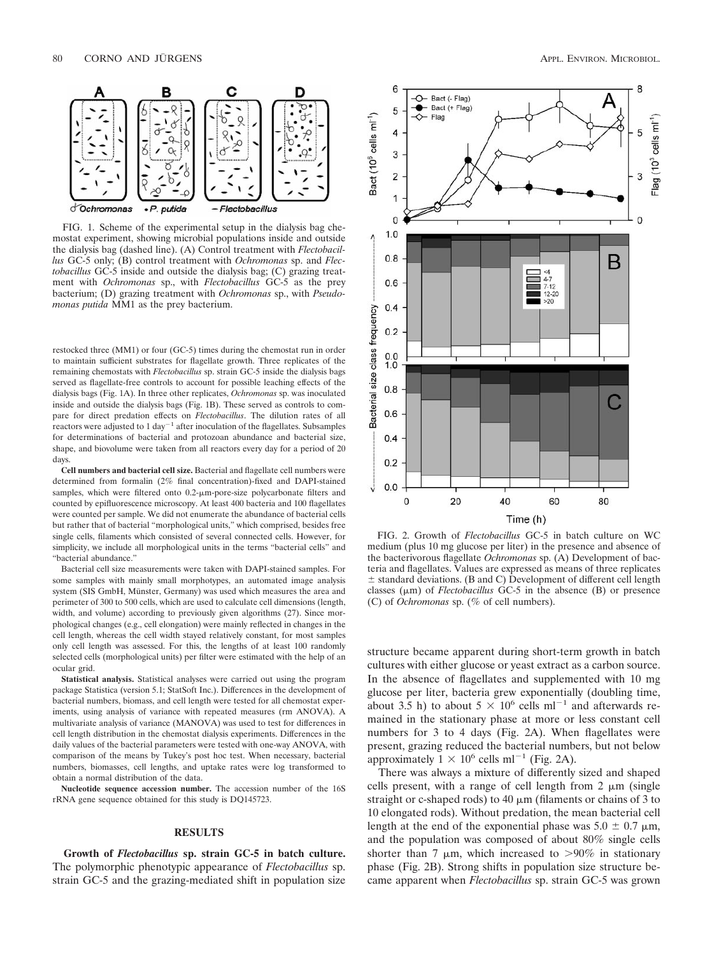

FIG. 1. Scheme of the experimental setup in the dialysis bag chemostat experiment, showing microbial populations inside and outside the dialysis bag (dashed line). (A) Control treatment with *Flectobacillus* GC-5 only; (B) control treatment with *Ochromonas* sp. and *Flectobacillus* GC-5 inside and outside the dialysis bag; (C) grazing treatment with *Ochromonas* sp., with *Flectobacillus* GC-5 as the prey bacterium; (D) grazing treatment with *Ochromonas* sp., with *Pseudomonas putida* MM1 as the prey bacterium.

restocked three (MM1) or four (GC-5) times during the chemostat run in order to maintain sufficient substrates for flagellate growth. Three replicates of the remaining chemostats with *Flectobacillus* sp. strain GC-5 inside the dialysis bags served as flagellate-free controls to account for possible leaching effects of the dialysis bags (Fig. 1A). In three other replicates, *Ochromonas* sp. was inoculated inside and outside the dialysis bags (Fig. 1B). These served as controls to compare for direct predation effects on *Flectobacillus*. The dilution rates of all reactors were adjusted to 1 day<sup> $-1$ </sup> after inoculation of the flagellates. Subsamples for determinations of bacterial and protozoan abundance and bacterial size, shape, and biovolume were taken from all reactors every day for a period of 20 days.

**Cell numbers and bacterial cell size.** Bacterial and flagellate cell numbers were determined from formalin (2% final concentration)-fixed and DAPI-stained samples, which were filtered onto 0.2- $\mu$ m-pore-size polycarbonate filters and counted by epifluorescence microscopy. At least 400 bacteria and 100 flagellates were counted per sample. We did not enumerate the abundance of bacterial cells but rather that of bacterial "morphological units," which comprised, besides free single cells, filaments which consisted of several connected cells. However, for simplicity, we include all morphological units in the terms "bacterial cells" and "bacterial abundance."

Bacterial cell size measurements were taken with DAPI-stained samples. For some samples with mainly small morphotypes, an automated image analysis system (SIS GmbH, Münster, Germany) was used which measures the area and perimeter of 300 to 500 cells, which are used to calculate cell dimensions (length, width, and volume) according to previously given algorithms (27). Since morphological changes (e.g., cell elongation) were mainly reflected in changes in the cell length, whereas the cell width stayed relatively constant, for most samples only cell length was assessed. For this, the lengths of at least 100 randomly selected cells (morphological units) per filter were estimated with the help of an ocular grid.

**Statistical analysis.** Statistical analyses were carried out using the program package Statistica (version 5.1; StatSoft Inc.). Differences in the development of bacterial numbers, biomass, and cell length were tested for all chemostat experiments, using analysis of variance with repeated measures (rm ANOVA). A multivariate analysis of variance (MANOVA) was used to test for differences in cell length distribution in the chemostat dialysis experiments. Differences in the daily values of the bacterial parameters were tested with one-way ANOVA, with comparison of the means by Tukey's post hoc test. When necessary, bacterial numbers, biomasses, cell lengths, and uptake rates were log transformed to obtain a normal distribution of the data.

**Nucleotide sequence accession number.** The accession number of the 16S rRNA gene sequence obtained for this study is DQ145723.

### **RESULTS**

**Growth of** *Flectobacillus* **sp. strain GC-5 in batch culture.** The polymorphic phenotypic appearance of *Flectobacillus* sp. strain GC-5 and the grazing-mediated shift in population size



FIG. 2. Growth of *Flectobacillus* GC-5 in batch culture on WC medium (plus 10 mg glucose per liter) in the presence and absence of the bacterivorous flagellate *Ochromonas* sp. (A) Development of bacteria and flagellates. Values are expressed as means of three replicates  $\pm$  standard deviations. (B and C) Development of different cell length classes  $(\mu m)$  of *Flectobacillus* GC-5 in the absence (B) or presence (C) of *Ochromonas* sp. (% of cell numbers).

structure became apparent during short-term growth in batch cultures with either glucose or yeast extract as a carbon source. In the absence of flagellates and supplemented with 10 mg glucose per liter, bacteria grew exponentially (doubling time, about 3.5 h) to about  $5 \times 10^6$  cells ml<sup>-1</sup> and afterwards remained in the stationary phase at more or less constant cell numbers for 3 to 4 days (Fig. 2A). When flagellates were present, grazing reduced the bacterial numbers, but not below approximately  $1 \times 10^6$  cells ml<sup>-1</sup> (Fig. 2A).

There was always a mixture of differently sized and shaped cells present, with a range of cell length from  $2 \mu m$  (single straight or c-shaped rods) to  $40 \ \mu m$  (filaments or chains of 3 to 10 elongated rods). Without predation, the mean bacterial cell length at the end of the exponential phase was  $5.0 \pm 0.7 \mu m$ , and the population was composed of about 80% single cells shorter than 7  $\mu$ m, which increased to >90% in stationary phase (Fig. 2B). Strong shifts in population size structure became apparent when *Flectobacillus* sp. strain GC-5 was grown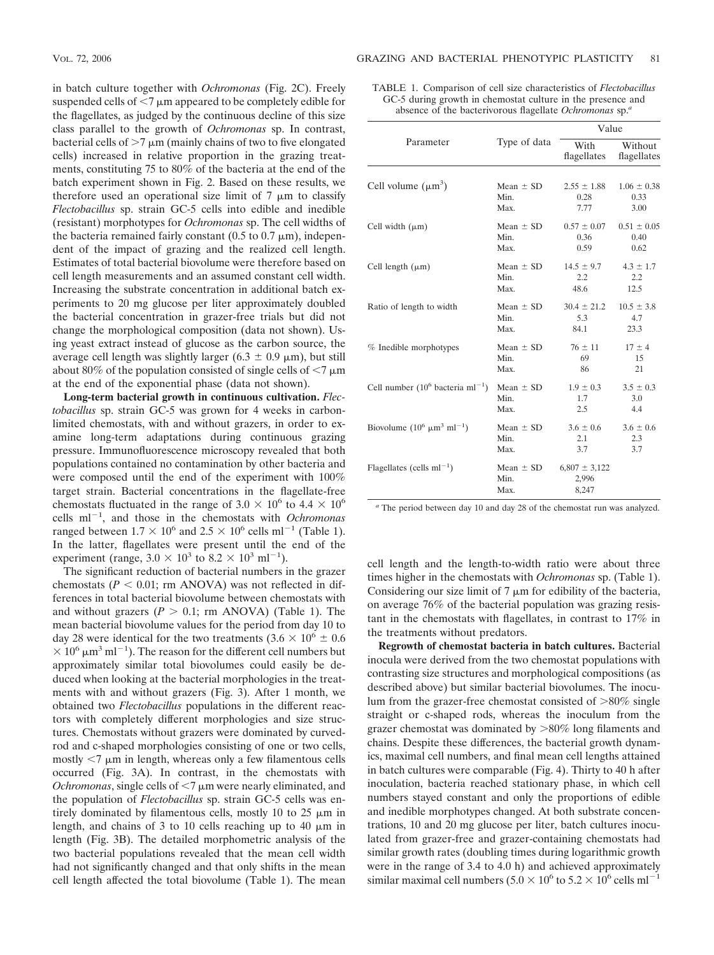in batch culture together with *Ochromonas* (Fig. 2C). Freely suspended cells of  $\leq 7$   $\mu$ m appeared to be completely edible for the flagellates, as judged by the continuous decline of this size class parallel to the growth of *Ochromonas* sp. In contrast, bacterial cells of  $>7 \mu m$  (mainly chains of two to five elongated cells) increased in relative proportion in the grazing treatments, constituting 75 to 80% of the bacteria at the end of the batch experiment shown in Fig. 2. Based on these results, we therefore used an operational size limit of  $7 \mu m$  to classify *Flectobacillus* sp. strain GC-5 cells into edible and inedible (resistant) morphotypes for *Ochromonas* sp. The cell widths of the bacteria remained fairly constant  $(0.5 \text{ to } 0.7 \text{ }\mu\text{m})$ , independent of the impact of grazing and the realized cell length. Estimates of total bacterial biovolume were therefore based on cell length measurements and an assumed constant cell width. Increasing the substrate concentration in additional batch experiments to 20 mg glucose per liter approximately doubled the bacterial concentration in grazer-free trials but did not change the morphological composition (data not shown). Using yeast extract instead of glucose as the carbon source, the average cell length was slightly larger (6.3  $\pm$  0.9  $\mu$ m), but still about 80% of the population consisted of single cells of  $\leq 7 \,\mathrm{\mu m}$ at the end of the exponential phase (data not shown).

**Long-term bacterial growth in continuous cultivation.** *Flectobacillus* sp. strain GC-5 was grown for 4 weeks in carbonlimited chemostats, with and without grazers, in order to examine long-term adaptations during continuous grazing pressure. Immunofluorescence microscopy revealed that both populations contained no contamination by other bacteria and were composed until the end of the experiment with 100% target strain. Bacterial concentrations in the flagellate-free chemostats fluctuated in the range of  $3.0 \times 10^6$  to  $4.4 \times 10^6$ cells ml<sup>-1</sup>, and those in the chemostats with *Ochromonas* ranged between  $1.7 \times 10^6$  and  $2.5 \times 10^6$  cells ml<sup>-1</sup> (Table 1). In the latter, flagellates were present until the end of the experiment (range,  $3.0 \times 10^3$  to  $8.2 \times 10^3$  ml<sup>-1</sup>).

The significant reduction of bacterial numbers in the grazer chemostats  $(P < 0.01$ ; rm ANOVA) was not reflected in differences in total bacterial biovolume between chemostats with and without grazers  $(P > 0.1$ ; rm ANOVA) (Table 1). The mean bacterial biovolume values for the period from day 10 to day 28 were identical for the two treatments  $(3.6 \times 10^6 \pm 0.6$  $\times$  10<sup>6</sup>  $\mu$ m<sup>3</sup> ml<sup>-1</sup>). The reason for the different cell numbers but approximately similar total biovolumes could easily be deduced when looking at the bacterial morphologies in the treatments with and without grazers (Fig. 3). After 1 month, we obtained two *Flectobacillus* populations in the different reactors with completely different morphologies and size structures. Chemostats without grazers were dominated by curvedrod and c-shaped morphologies consisting of one or two cells,  $m$ ostly  $\leq$ 7  $\mu$ m in length, whereas only a few filamentous cells occurred (Fig. 3A). In contrast, in the chemostats with  $Ochromonas$ , single cells of  $\leq 7$   $\mu$ m were nearly eliminated, and the population of *Flectobacillus* sp. strain GC-5 cells was entirely dominated by filamentous cells, mostly 10 to 25  $\mu$ m in length, and chains of 3 to 10 cells reaching up to 40  $\mu$ m in length (Fig. 3B). The detailed morphometric analysis of the two bacterial populations revealed that the mean cell width had not significantly changed and that only shifts in the mean cell length affected the total biovolume (Table 1). The mean

TABLE 1. Comparison of cell size characteristics of *Flectobacillus* GC-5 during growth in chemostat culture in the presence and absence of the bacterivorous flagellate *Ochromonas* sp.*<sup>a</sup>*

| Parameter                                       | Type of data                  | Value                               |                        |
|-------------------------------------------------|-------------------------------|-------------------------------------|------------------------|
|                                                 |                               | With<br>flagellates                 | Without<br>flagellates |
| Cell volume $(\mu m^3)$                         | Mean $\pm$ SD                 | $2.55 \pm 1.88$                     | $1.06 \pm 0.38$        |
|                                                 | Min.                          | 0.28                                | 0.33                   |
|                                                 | Max.                          | 7.77                                | 3.00                   |
| Cell width $(\mu m)$                            | Mean $\pm$ SD                 | $0.57 \pm 0.07$                     | $0.51 \pm 0.05$        |
|                                                 | Min.                          | 0.36                                | 0.40                   |
|                                                 | Max.                          | 0.59                                | 0.62                   |
| Cell length $(\mu m)$                           | Mean $\pm$ SD                 | $14.5 \pm 9.7$                      | $4.3 \pm 1.7$          |
|                                                 | Min.                          | 2.2                                 | 2.2                    |
|                                                 | Max.                          | 48.6                                | 12.5                   |
| Ratio of length to width                        | Mean $\pm$ SD                 | $30.4 \pm 21.2$                     | $10.5 \pm 3.8$         |
|                                                 | Min.                          | 5.3                                 | 4.7                    |
|                                                 | Max.                          | 84.1                                | 23.3                   |
| % Inedible morphotypes                          | Mean $\pm$ SD                 | $76 \pm 11$                         | $17 \pm 4$             |
|                                                 | Min.                          | 69                                  | 15                     |
|                                                 | Max.                          | 86                                  | 21                     |
| Cell number $(10^6$ bacteria ml <sup>-1</sup> ) | Mean $\pm$ SD                 | $1.9 \pm 0.3$                       | $3.5 \pm 0.3$          |
|                                                 | Min.                          | 1.7                                 | 3.0                    |
|                                                 | Max.                          | 2.5                                 | 4.4                    |
| Biovolume $(10^6 \mu m^3 \text{ ml}^{-1})$      | Mean $\pm$ SD                 | $3.6 \pm 0.6$                       | $3.6 \pm 0.6$          |
|                                                 | Min.                          | 2.1                                 | 2.3                    |
|                                                 | Max.                          | 3.7                                 | 3.7                    |
| Flagellates (cells $ml^{-1}$ )                  | Mean $\pm$ SD<br>Min.<br>Max. | $6,807 \pm 3,122$<br>2,996<br>8,247 |                        |

*<sup>a</sup>* The period between day 10 and day 28 of the chemostat run was analyzed.

cell length and the length-to-width ratio were about three times higher in the chemostats with *Ochromonas* sp. (Table 1). Considering our size limit of  $7 \mu m$  for edibility of the bacteria, on average 76% of the bacterial population was grazing resistant in the chemostats with flagellates, in contrast to 17% in the treatments without predators.

**Regrowth of chemostat bacteria in batch cultures.** Bacterial inocula were derived from the two chemostat populations with contrasting size structures and morphological compositions (as described above) but similar bacterial biovolumes. The inoculum from the grazer-free chemostat consisted of  $>80\%$  single straight or c-shaped rods, whereas the inoculum from the grazer chemostat was dominated by  $>80\%$  long filaments and chains. Despite these differences, the bacterial growth dynamics, maximal cell numbers, and final mean cell lengths attained in batch cultures were comparable (Fig. 4). Thirty to 40 h after inoculation, bacteria reached stationary phase, in which cell numbers stayed constant and only the proportions of edible and inedible morphotypes changed. At both substrate concentrations, 10 and 20 mg glucose per liter, batch cultures inoculated from grazer-free and grazer-containing chemostats had similar growth rates (doubling times during logarithmic growth were in the range of 3.4 to 4.0 h) and achieved approximately similar maximal cell numbers ( $5.0 \times 10^6$  to  $5.2 \times 10^6$  cells ml<sup>-1</sup>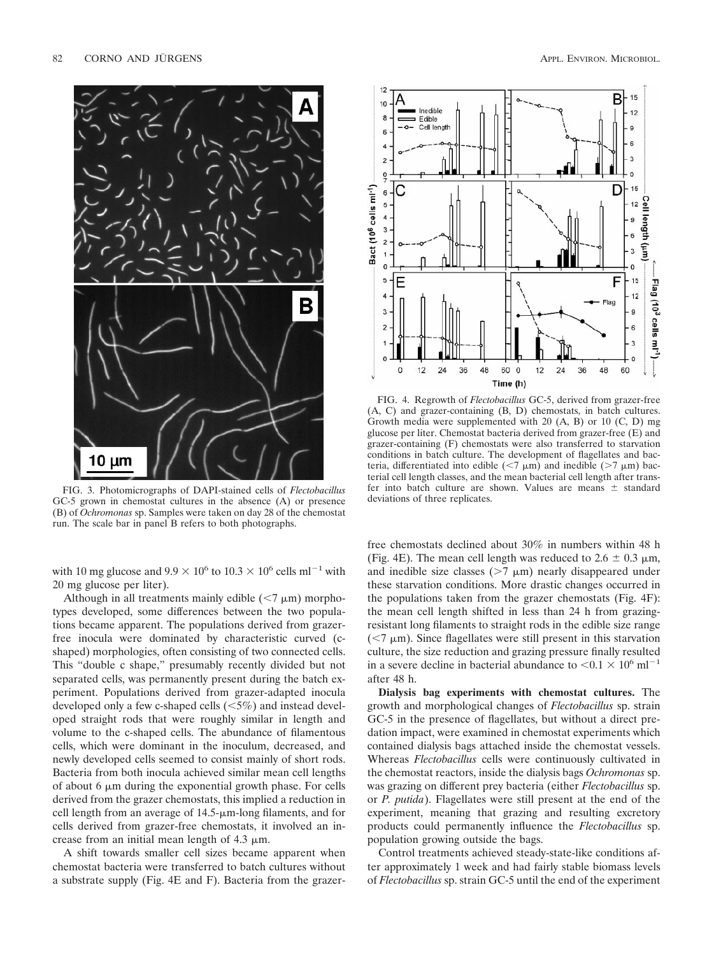

FIG. 3. Photomicrographs of DAPI-stained cells of *Flectobacillus* GC-5 grown in chemostat cultures in the absence (A) or presence (B) of *Ochromonas* sp. Samples were taken on day 28 of the chemostat run. The scale bar in panel B refers to both photographs.

with 10 mg glucose and  $9.9 \times 10^6$  to  $10.3 \times 10^6$  cells ml<sup>-1</sup> with 20 mg glucose per liter).

Although in all treatments mainly edible  $(< 7 \mu m)$  morphotypes developed, some differences between the two populations became apparent. The populations derived from grazerfree inocula were dominated by characteristic curved (cshaped) morphologies, often consisting of two connected cells. This "double c shape," presumably recently divided but not separated cells, was permanently present during the batch experiment. Populations derived from grazer-adapted inocula developed only a few c-shaped cells  $(<5\%)$  and instead developed straight rods that were roughly similar in length and volume to the c-shaped cells. The abundance of filamentous cells, which were dominant in the inoculum, decreased, and newly developed cells seemed to consist mainly of short rods. Bacteria from both inocula achieved similar mean cell lengths of about 6  $\mu$ m during the exponential growth phase. For cells derived from the grazer chemostats, this implied a reduction in cell length from an average of  $14.5$ - $\mu$ m-long filaments, and for cells derived from grazer-free chemostats, it involved an increase from an initial mean length of  $4.3 \mu m$ .

A shift towards smaller cell sizes became apparent when chemostat bacteria were transferred to batch cultures without a substrate supply (Fig. 4E and F). Bacteria from the grazer-



FIG. 4. Regrowth of *Flectobacillus* GC-5, derived from grazer-free (A, C) and grazer-containing (B, D) chemostats, in batch cultures. Growth media were supplemented with 20 (A, B) or 10 (C, D) mg glucose per liter. Chemostat bacteria derived from grazer-free (E) and grazer-containing (F) chemostats were also transferred to starvation conditions in batch culture. The development of flagellates and bacteria, differentiated into edible  $(\leq 7 \mu m)$  and inedible  $(> 7 \mu m)$  bacterial cell length classes, and the mean bacterial cell length after transfer into batch culture are shown. Values are means  $\pm$  standard deviations of three replicates.

free chemostats declined about 30% in numbers within 48 h (Fig. 4E). The mean cell length was reduced to  $2.6 \pm 0.3$   $\mu$ m, and inedible size classes  $(27 \mu m)$  nearly disappeared under these starvation conditions. More drastic changes occurred in the populations taken from the grazer chemostats (Fig. 4F): the mean cell length shifted in less than 24 h from grazingresistant long filaments to straight rods in the edible size range  $\approx$  (<7  $\mu$ m). Since flagellates were still present in this starvation culture, the size reduction and grazing pressure finally resulted in a severe decline in bacterial abundance to  $\le 0.1 \times 10^6$  ml<sup>-1</sup> after 48 h.

**Dialysis bag experiments with chemostat cultures.** The growth and morphological changes of *Flectobacillus* sp. strain GC-5 in the presence of flagellates, but without a direct predation impact, were examined in chemostat experiments which contained dialysis bags attached inside the chemostat vessels. Whereas *Flectobacillus* cells were continuously cultivated in the chemostat reactors, inside the dialysis bags *Ochromonas* sp. was grazing on different prey bacteria (either *Flectobacillus* sp. or *P. putida*). Flagellates were still present at the end of the experiment, meaning that grazing and resulting excretory products could permanently influence the *Flectobacillus* sp. population growing outside the bags.

Control treatments achieved steady-state-like conditions after approximately 1 week and had fairly stable biomass levels of *Flectobacillus* sp. strain GC-5 until the end of the experiment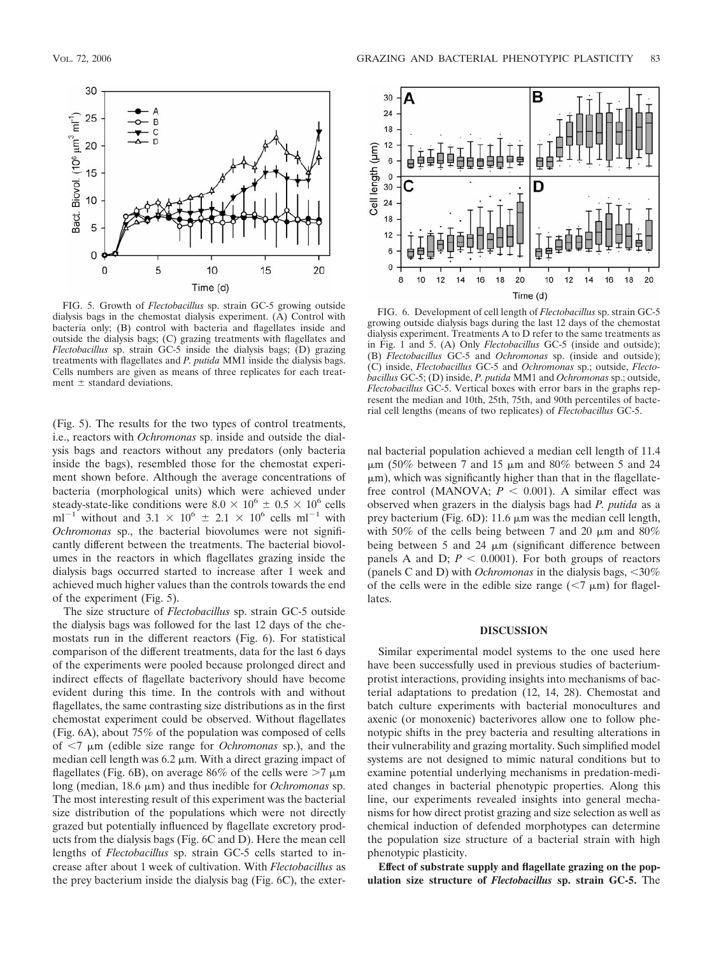

FIG. 5. Growth of *Flectobacillus* sp. strain GC-5 growing outside dialysis bags in the chemostat dialysis experiment. (A) Control with bacteria only; (B) control with bacteria and flagellates inside and outside the dialysis bags; (C) grazing treatments with flagellates and *Flectobacillus* sp. strain GC-5 inside the dialysis bags; (D) grazing treatments with flagellates and *P. putida* MM1 inside the dialysis bags. Cells numbers are given as means of three replicates for each treatment  $\pm$  standard deviations.

(Fig. 5). The results for the two types of control treatments, i.e., reactors with *Ochromonas* sp. inside and outside the dialysis bags and reactors without any predators (only bacteria inside the bags), resembled those for the chemostat experiment shown before. Although the average concentrations of bacteria (morphological units) which were achieved under steady-state-like conditions were  $8.0 \times 10^6 \pm 0.5 \times 10^6$  cells ml<sup>-1</sup> without and 3.1  $\times$  10<sup>6</sup>  $\pm$  2.1  $\times$  10<sup>6</sup> cells ml<sup>-1</sup> with *Ochromonas* sp., the bacterial biovolumes were not significantly different between the treatments. The bacterial biovolumes in the reactors in which flagellates grazing inside the dialysis bags occurred started to increase after 1 week and achieved much higher values than the controls towards the end of the experiment (Fig. 5).

The size structure of *Flectobacillus* sp. strain GC-5 outside the dialysis bags was followed for the last 12 days of the chemostats run in the different reactors (Fig. 6). For statistical comparison of the different treatments, data for the last 6 days of the experiments were pooled because prolonged direct and indirect effects of flagellate bacterivory should have become evident during this time. In the controls with and without flagellates, the same contrasting size distributions as in the first chemostat experiment could be observed. Without flagellates (Fig. 6A), about 75% of the population was composed of cells of  $\leq 7$   $\mu$ m (edible size range for *Ochromonas* sp.), and the median cell length was  $6.2 \mu m$ . With a direct grazing impact of flagellates (Fig. 6B), on average 86% of the cells were  $>7 \mu m$ long (median, 18.6  $\mu$ m) and thus inedible for *Ochromonas* sp. The most interesting result of this experiment was the bacterial size distribution of the populations which were not directly grazed but potentially influenced by flagellate excretory products from the dialysis bags (Fig. 6C and D). Here the mean cell lengths of *Flectobacillus* sp. strain GC-5 cells started to increase after about 1 week of cultivation. With *Flectobacillus* as the prey bacterium inside the dialysis bag (Fig. 6C), the exter-



FIG. 6. Development of cell length of *Flectobacillus* sp. strain GC-5 growing outside dialysis bags during the last 12 days of the chemostat dialysis experiment. Treatments A to D refer to the same treatments as in Fig. 1 and 5. (A) Only *Flectobacillus* GC-5 (inside and outside); (B) *Flectobacillus* GC-5 and *Ochromonas* sp. (inside and outside); (C) inside, *Flectobacillus* GC-5 and *Ochromonas* sp.; outside, *Flectobacillus* GC-5; (D) inside, *P. putida* MM1 and *Ochromonas* sp.; outside, *Flectobacillus* GC-5. Vertical boxes with error bars in the graphs represent the median and 10th, 25th, 75th, and 90th percentiles of bacterial cell lengths (means of two replicates) of *Flectobacillus* GC-5.

nal bacterial population achieved a median cell length of 11.4  $\mu$ m (50% between 7 and 15  $\mu$ m and 80% between 5 and 24  $\mu$ m), which was significantly higher than that in the flagellatefree control (MANOVA;  $P < 0.001$ ). A similar effect was observed when grazers in the dialysis bags had *P. putida* as a prey bacterium (Fig.  $6D$ ): 11.6  $\mu$ m was the median cell length, with 50% of the cells being between 7 and 20  $\mu$ m and 80% being between 5 and 24  $\mu$ m (significant difference between panels A and D;  $P < 0.0001$ ). For both groups of reactors (panels C and D) with *Ochromonas* in the dialysis bags,  $\langle 30\% \rangle$ of the cells were in the edible size range  $(< 7 \mu m)$  for flagellates.

## **DISCUSSION**

Similar experimental model systems to the one used here have been successfully used in previous studies of bacteriumprotist interactions, providing insights into mechanisms of bacterial adaptations to predation (12, 14, 28). Chemostat and batch culture experiments with bacterial monocultures and axenic (or monoxenic) bacterivores allow one to follow phenotypic shifts in the prey bacteria and resulting alterations in their vulnerability and grazing mortality. Such simplified model systems are not designed to mimic natural conditions but to examine potential underlying mechanisms in predation-mediated changes in bacterial phenotypic properties. Along this line, our experiments revealed insights into general mechanisms for how direct protist grazing and size selection as well as chemical induction of defended morphotypes can determine the population size structure of a bacterial strain with high phenotypic plasticity.

**Effect of substrate supply and flagellate grazing on the population size structure of** *Flectobacillus* **sp. strain GC-5.** The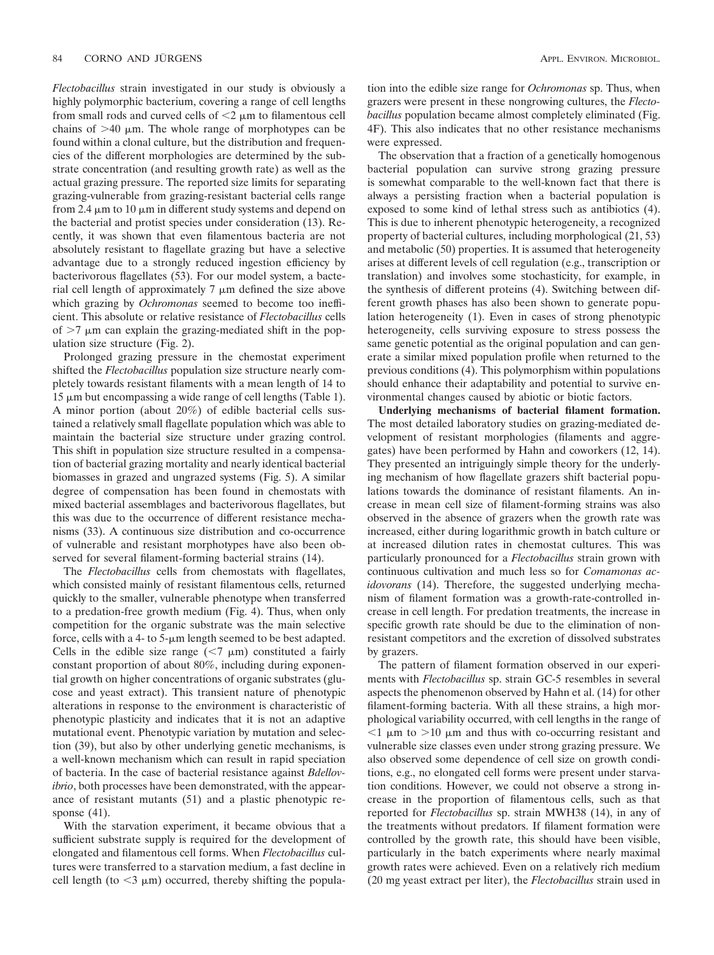*Flectobacillus* strain investigated in our study is obviously a highly polymorphic bacterium, covering a range of cell lengths from small rods and curved cells of  $\leq$   $\mu$ m to filamentous cell chains of  $>40$   $\mu$ m. The whole range of morphotypes can be found within a clonal culture, but the distribution and frequencies of the different morphologies are determined by the substrate concentration (and resulting growth rate) as well as the actual grazing pressure. The reported size limits for separating grazing-vulnerable from grazing-resistant bacterial cells range from 2.4  $\mu$ m to 10  $\mu$ m in different study systems and depend on the bacterial and protist species under consideration (13). Recently, it was shown that even filamentous bacteria are not absolutely resistant to flagellate grazing but have a selective advantage due to a strongly reduced ingestion efficiency by bacterivorous flagellates (53). For our model system, a bacterial cell length of approximately  $7 \mu m$  defined the size above which grazing by *Ochromonas* seemed to become too inefficient. This absolute or relative resistance of *Flectobacillus* cells of  $>7$   $\mu$ m can explain the grazing-mediated shift in the population size structure (Fig. 2).

Prolonged grazing pressure in the chemostat experiment shifted the *Flectobacillus* population size structure nearly completely towards resistant filaments with a mean length of 14 to  $15 \mu m$  but encompassing a wide range of cell lengths (Table 1). A minor portion (about 20%) of edible bacterial cells sustained a relatively small flagellate population which was able to maintain the bacterial size structure under grazing control. This shift in population size structure resulted in a compensation of bacterial grazing mortality and nearly identical bacterial biomasses in grazed and ungrazed systems (Fig. 5). A similar degree of compensation has been found in chemostats with mixed bacterial assemblages and bacterivorous flagellates, but this was due to the occurrence of different resistance mechanisms (33). A continuous size distribution and co-occurrence of vulnerable and resistant morphotypes have also been observed for several filament-forming bacterial strains (14).

The *Flectobacillus* cells from chemostats with flagellates, which consisted mainly of resistant filamentous cells, returned quickly to the smaller, vulnerable phenotype when transferred to a predation-free growth medium (Fig. 4). Thus, when only competition for the organic substrate was the main selective force, cells with a 4- to  $5$ - $\mu$ m length seemed to be best adapted. Cells in the edible size range  $(< 7 \mu m)$  constituted a fairly constant proportion of about 80%, including during exponential growth on higher concentrations of organic substrates (glucose and yeast extract). This transient nature of phenotypic alterations in response to the environment is characteristic of phenotypic plasticity and indicates that it is not an adaptive mutational event. Phenotypic variation by mutation and selection (39), but also by other underlying genetic mechanisms, is a well-known mechanism which can result in rapid speciation of bacteria. In the case of bacterial resistance against *Bdellovibrio*, both processes have been demonstrated, with the appearance of resistant mutants (51) and a plastic phenotypic response (41).

With the starvation experiment, it became obvious that a sufficient substrate supply is required for the development of elongated and filamentous cell forms. When *Flectobacillus* cultures were transferred to a starvation medium, a fast decline in cell length (to  $\leq$ 3  $\mu$ m) occurred, thereby shifting the population into the edible size range for *Ochromonas* sp. Thus, when grazers were present in these nongrowing cultures, the *Flectobacillus* population became almost completely eliminated (Fig. 4F). This also indicates that no other resistance mechanisms were expressed.

The observation that a fraction of a genetically homogenous bacterial population can survive strong grazing pressure is somewhat comparable to the well-known fact that there is always a persisting fraction when a bacterial population is exposed to some kind of lethal stress such as antibiotics (4). This is due to inherent phenotypic heterogeneity, a recognized property of bacterial cultures, including morphological (21, 53) and metabolic (50) properties. It is assumed that heterogeneity arises at different levels of cell regulation (e.g., transcription or translation) and involves some stochasticity, for example, in the synthesis of different proteins (4). Switching between different growth phases has also been shown to generate population heterogeneity (1). Even in cases of strong phenotypic heterogeneity, cells surviving exposure to stress possess the same genetic potential as the original population and can generate a similar mixed population profile when returned to the previous conditions (4). This polymorphism within populations should enhance their adaptability and potential to survive environmental changes caused by abiotic or biotic factors.

**Underlying mechanisms of bacterial filament formation.** The most detailed laboratory studies on grazing-mediated development of resistant morphologies (filaments and aggregates) have been performed by Hahn and coworkers (12, 14). They presented an intriguingly simple theory for the underlying mechanism of how flagellate grazers shift bacterial populations towards the dominance of resistant filaments. An increase in mean cell size of filament-forming strains was also observed in the absence of grazers when the growth rate was increased, either during logarithmic growth in batch culture or at increased dilution rates in chemostat cultures. This was particularly pronounced for a *Flectobacillus* strain grown with continuous cultivation and much less so for *Comamonas acidovorans* (14). Therefore, the suggested underlying mechanism of filament formation was a growth-rate-controlled increase in cell length. For predation treatments, the increase in specific growth rate should be due to the elimination of nonresistant competitors and the excretion of dissolved substrates by grazers.

The pattern of filament formation observed in our experiments with *Flectobacillus* sp. strain GC-5 resembles in several aspects the phenomenon observed by Hahn et al. (14) for other filament-forming bacteria. With all these strains, a high morphological variability occurred, with cell lengths in the range of  $\leq 1$   $\mu$ m to  $> 10$   $\mu$ m and thus with co-occurring resistant and vulnerable size classes even under strong grazing pressure. We also observed some dependence of cell size on growth conditions, e.g., no elongated cell forms were present under starvation conditions. However, we could not observe a strong increase in the proportion of filamentous cells, such as that reported for *Flectobacillus* sp. strain MWH38 (14), in any of the treatments without predators. If filament formation were controlled by the growth rate, this should have been visible, particularly in the batch experiments where nearly maximal growth rates were achieved. Even on a relatively rich medium (20 mg yeast extract per liter), the *Flectobacillus* strain used in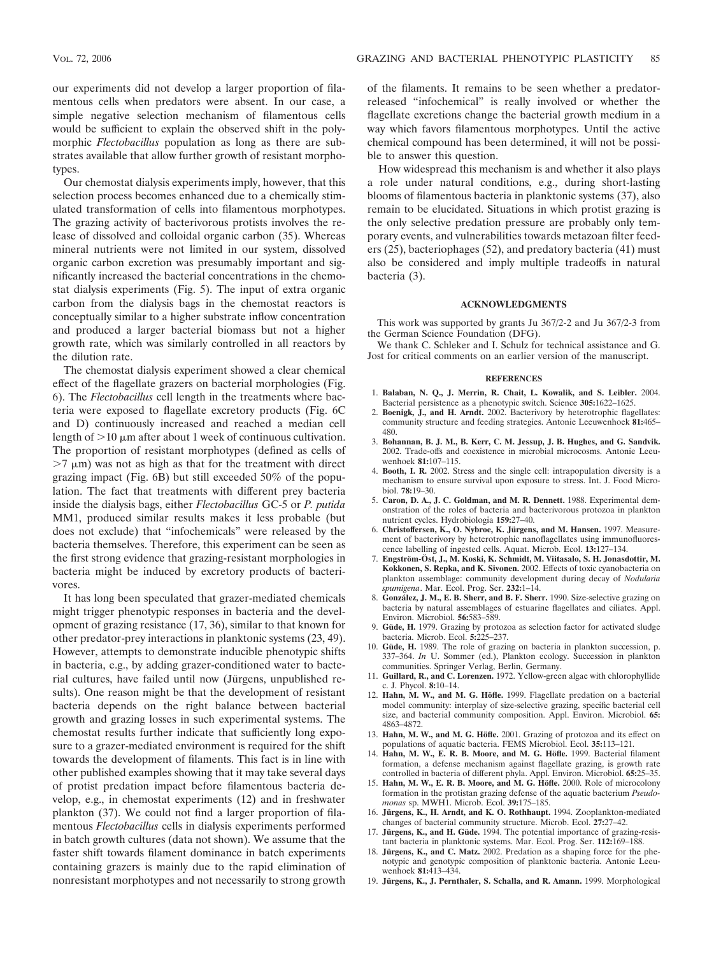our experiments did not develop a larger proportion of filamentous cells when predators were absent. In our case, a simple negative selection mechanism of filamentous cells would be sufficient to explain the observed shift in the polymorphic *Flectobacillus* population as long as there are substrates available that allow further growth of resistant morphotypes.

Our chemostat dialysis experiments imply, however, that this selection process becomes enhanced due to a chemically stimulated transformation of cells into filamentous morphotypes. The grazing activity of bacterivorous protists involves the release of dissolved and colloidal organic carbon (35). Whereas mineral nutrients were not limited in our system, dissolved organic carbon excretion was presumably important and significantly increased the bacterial concentrations in the chemostat dialysis experiments (Fig. 5). The input of extra organic carbon from the dialysis bags in the chemostat reactors is conceptually similar to a higher substrate inflow concentration and produced a larger bacterial biomass but not a higher growth rate, which was similarly controlled in all reactors by the dilution rate.

The chemostat dialysis experiment showed a clear chemical effect of the flagellate grazers on bacterial morphologies (Fig. 6). The *Flectobacillus* cell length in the treatments where bacteria were exposed to flagellate excretory products (Fig. 6C and D) continuously increased and reached a median cell length of  $>$ 10  $\mu$ m after about 1 week of continuous cultivation. The proportion of resistant morphotypes (defined as cells of  $>7 \mu$ m) was not as high as that for the treatment with direct grazing impact (Fig. 6B) but still exceeded 50% of the population. The fact that treatments with different prey bacteria inside the dialysis bags, either *Flectobacillus* GC-5 or *P. putida* MM1, produced similar results makes it less probable (but does not exclude) that "infochemicals" were released by the bacteria themselves. Therefore, this experiment can be seen as the first strong evidence that grazing-resistant morphologies in bacteria might be induced by excretory products of bacterivores.

It has long been speculated that grazer-mediated chemicals might trigger phenotypic responses in bacteria and the development of grazing resistance (17, 36), similar to that known for other predator-prey interactions in planktonic systems (23, 49). However, attempts to demonstrate inducible phenotypic shifts in bacteria, e.g., by adding grazer-conditioned water to bacterial cultures, have failed until now (Jürgens, unpublished results). One reason might be that the development of resistant bacteria depends on the right balance between bacterial growth and grazing losses in such experimental systems. The chemostat results further indicate that sufficiently long exposure to a grazer-mediated environment is required for the shift towards the development of filaments. This fact is in line with other published examples showing that it may take several days of protist predation impact before filamentous bacteria develop, e.g., in chemostat experiments (12) and in freshwater plankton (37). We could not find a larger proportion of filamentous *Flectobacillus* cells in dialysis experiments performed in batch growth cultures (data not shown). We assume that the faster shift towards filament dominance in batch experiments containing grazers is mainly due to the rapid elimination of nonresistant morphotypes and not necessarily to strong growth

of the filaments. It remains to be seen whether a predatorreleased "infochemical" is really involved or whether the flagellate excretions change the bacterial growth medium in a way which favors filamentous morphotypes. Until the active chemical compound has been determined, it will not be possible to answer this question.

How widespread this mechanism is and whether it also plays a role under natural conditions, e.g., during short-lasting blooms of filamentous bacteria in planktonic systems (37), also remain to be elucidated. Situations in which protist grazing is the only selective predation pressure are probably only temporary events, and vulnerabilities towards metazoan filter feeders (25), bacteriophages (52), and predatory bacteria (41) must also be considered and imply multiple tradeoffs in natural bacteria (3).

### **ACKNOWLEDGMENTS**

This work was supported by grants Ju 367/2-2 and Ju 367/2-3 from the German Science Foundation (DFG).

We thank C. Schleker and I. Schulz for technical assistance and G. Jost for critical comments on an earlier version of the manuscript.

#### **REFERENCES**

- 1. **Balaban, N. Q., J. Merrin, R. Chait, L. Kowalik, and S. Leibler.** 2004. Bacterial persistence as a phenotypic switch. Science **305:**1622–1625.
- 2. **Boenigk, J., and H. Arndt.** 2002. Bacterivory by heterotrophic flagellates: community structure and feeding strategies. Antonie Leeuwenhoek **81:**465– 480.
- 3. **Bohannan, B. J. M., B. Kerr, C. M. Jessup, J. B. Hughes, and G. Sandvik.** 2002. Trade-offs and coexistence in microbial microcosms. Antonie Leeuwenhoek **81:**107–115.
- 4. **Booth, I. R.** 2002. Stress and the single cell: intrapopulation diversity is a mechanism to ensure survival upon exposure to stress. Int. J. Food Microbiol. **78:**19–30.
- 5. **Caron, D. A., J. C. Goldman, and M. R. Dennett.** 1988. Experimental demonstration of the roles of bacteria and bacterivorous protozoa in plankton nutrient cycles. Hydrobiologia **159:**27–40.
- 6. **Christoffersen, K., O. Nybroe, K. Ju¨rgens, and M. Hansen.** 1997. Measurement of bacterivory by heterotrophic nanoflagellates using immunofluorescence labelling of ingested cells. Aquat. Microb. Ecol. **13:**127–134.
- 7. **Engstro¨m-O¨ st, J., M. Koski, K. Schmidt, M. Viitasalo, S. H. Jonasdottir, M. Kokkonen, S. Repka, and K. Sivonen.** 2002. Effects of toxic cyanobacteria on plankton assemblage: community development during decay of *Nodularia spumigena*. Mar. Ecol. Prog. Ser. **232:**1–14.
- 8. **Gonza´lez, J. M., E. B. Sherr, and B. F. Sherr.** 1990. Size-selective grazing on bacteria by natural assemblages of estuarine flagellates and ciliates. Appl. Environ. Microbiol. **56:**583–589.
- 9. Güde, H. 1979. Grazing by protozoa as selection factor for activated sludge bacteria. Microb. Ecol. **5:**225–237.
- 10. Güde, H. 1989. The role of grazing on bacteria in plankton succession, p. 337–364. *In* U. Sommer (ed.), Plankton ecology. Succession in plankton communities. Springer Verlag, Berlin, Germany.
- 11. **Guillard, R., and C. Lorenzen.** 1972. Yellow-green algae with chlorophyllide c. J. Phycol. **8:**10–14.
- 12. Hahn, M. W., and M. G. Höfle. 1999. Flagellate predation on a bacterial model community: interplay of size-selective grazing, specific bacterial cell size, and bacterial community composition. Appl. Environ. Microbiol. **65:** 4863–4872.
- 13. Hahn, M. W., and M. G. Höfle. 2001. Grazing of protozoa and its effect on populations of aquatic bacteria. FEMS Microbiol. Ecol. **35:**113–121.
- 14. Hahn, M. W., E. R. B. Moore, and M. G. Höfle. 1999. Bacterial filament formation, a defense mechanism against flagellate grazing, is growth rate controlled in bacteria of different phyla. Appl. Environ. Microbiol. **65:**25–35.
- 15. Hahn, M. W., E. R. B. Moore, and M. G. Höfle. 2000. Role of microcolony formation in the protistan grazing defense of the aquatic bacterium *Pseudomonas* sp. MWH1. Microb. Ecol. **39:**175–185.
- 16. **Jürgens, K., H. Arndt, and K. O. Rothhaupt.** 1994. Zooplankton-mediated changes of bacterial community structure. Microb. Ecol. **27:**27–42.
- 17. **Jürgens, K., and H. Güde.** 1994. The potential importance of grazing-resistant bacteria in planktonic systems. Mar. Ecol. Prog. Ser. **112:**169–188.
- 18. **Jürgens, K., and C. Matz.** 2002. Predation as a shaping force for the phenotypic and genotypic composition of planktonic bacteria. Antonie Leeuwenhoek **81:**413–434.
- 19. Jürgens, K., J. Pernthaler, S. Schalla, and R. Amann. 1999. Morphological